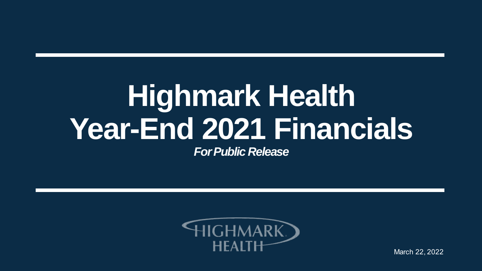# **Highmark Health Year-End 2021 Financials**

*For Public Release*



March 22, 2022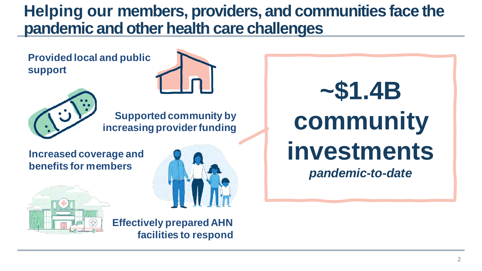### **Helping our members, providers, and communities face the pandemic and other health care challenges**

**Provided local and public support**





**Increased coverage and benefits for members**





**Effectively prepared AHN facilities to respond**

**~\$1.4B community investments** 

*pandemic-to-date*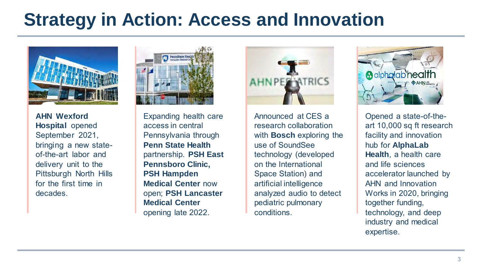# **Strategy in Action: Access and Innovation**



**AHN Wexford Hospital** opened September 2021, bringing a new stateof-the-art labor and delivery unit to the Pittsburgh North Hills for the first time in decades.



Expanding health care access in central Pennsylvania through **Penn State Health**  partnership. **PSH East Pennsboro Clinic, PSH Hampden Medical Center** now open; **PSH Lancaster Medical Center**  opening late 2022.



Announced at CES a research collaboration with **Bosch** exploring the use of SoundSee technology (developed on the International Space Station) and artificial intelligence analyzed audio to detect pediatric pulmonary conditions.



Opened a state-of-theart 10,000 sq ft research facility and innovation hub for **AlphaLab Health**, a health care and life sciences accelerator launched by AHN and Innovation Works in 2020, bringing together funding, technology, and deep industry and medical expertise.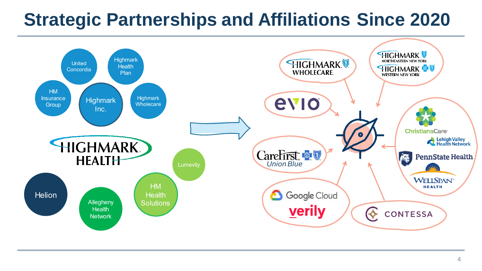## **Strategic Partnerships and Affiliations Since 2020**

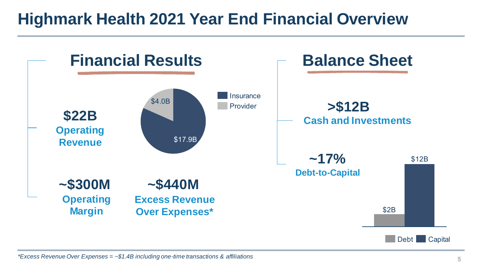### **Highmark Health 2021 Year End Financial Overview**



*\*Excess Revenue Over Expenses = ~\$1.4B including one-time transactions & affiliations*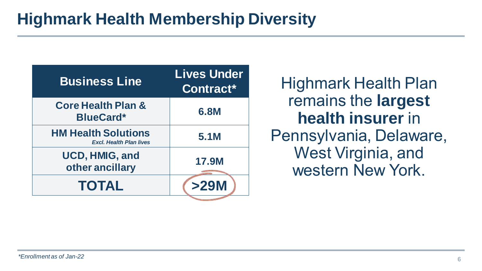| <b>Business Line</b>                                         | <b>Lives Under</b><br>Contract* |
|--------------------------------------------------------------|---------------------------------|
| <b>Core Health Plan &amp;</b><br><b>BlueCard*</b>            | 6.8M                            |
| <b>HM Health Solutions</b><br><b>Excl. Health Plan lives</b> | 5.1M                            |
| UCD, HMIG, and<br>other ancillary                            | <b>17.9M</b>                    |
| <b>TOTAL</b>                                                 | >29M                            |

Highmark Health Plan remains the **largest health insurer** in Pennsylvania, Delaware, West Virginia, and western New York.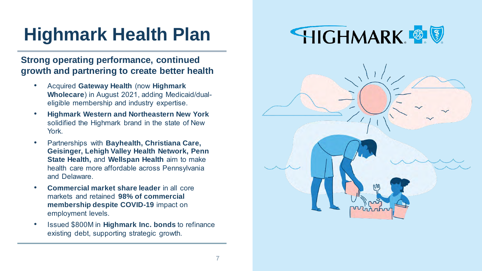# **Highmark Health Plan**

#### **Strong operating performance, continued growth and partnering to create better health**

- Acquired **Gateway Health** (now **Highmark Wholecare**) in August 2021, adding Medicaid/dualeligible membership and industry expertise.
- **Highmark Western and Northeastern New York**  solidified the Highmark brand in the state of New York.
- Partnerships with **Bayhealth, Christiana Care, Geisinger, Lehigh Valley Health Network, Penn State Health,** and **Wellspan Health** aim to make health care more affordable across Pennsylvania and Delaware.
- **Commercial market share leader** in all core markets and retained **98% of commercial membership despite COVID-19** impact on employment levels.
- Issued \$800M in **Highmark Inc. bonds** to refinance existing debt, supporting strategic growth.



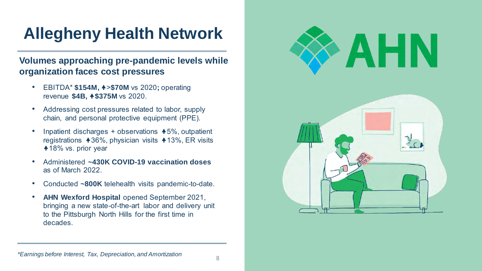## **Allegheny Health Network**

#### **Volumes approaching pre-pandemic levels while organization faces cost pressures**

- EBITDA\* **\$154M,** >**\$70M** vs 2020**;** operating revenue **\$4B, \$375M** vs 2020.
- Addressing cost pressures related to labor, supply chain, and personal protective equipment (PPE).
- Inpatient discharges + observations  $\blacktriangle$  5%, outpatient registrations  $\blacktriangle$  36%, physician visits  $\blacktriangle$  13%, ER visits **418% vs. prior year**
- Administered **~430K COVID-19 vaccination doses** as of March 2022.
- Conducted **~800K** telehealth visits pandemic-to-date.
- **AHN Wexford Hospital** opened September 2021, bringing a new state-of-the-art labor and delivery unit to the Pittsburgh North Hills for the first time in decades.

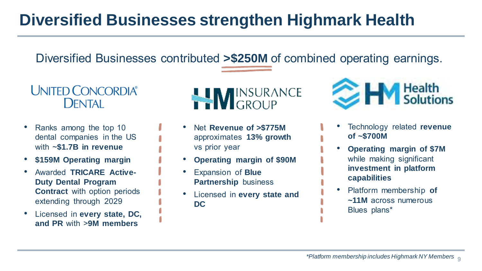### **Diversified Businesses strengthen Highmark Health**

Diversified Businesses contributed **>\$250M** of combined operating earnings.



- Ranks among the top 10 dental companies in the US with ~**\$1.7B in revenue**
- **\$159M Operating margin**
- Awarded **TRICARE Active-Duty Dental Program Contract** with option periods extending through 2029
- Licensed in **every state, DC, and PR** with >**9M members**



- Net **Revenue of >\$775M**  approximates **13% growth**  vs prior year
- **Operating margin of \$90M**
- Expansion of **Blue Partnership** business
- Licensed in **every state and DC**



- Technology related **revenue of ~\$700M**
- **Operating margin of \$7M** while making significant **investment in platform capabilities**
- Platform membership **of ~11M** across numerous Blues plans\*